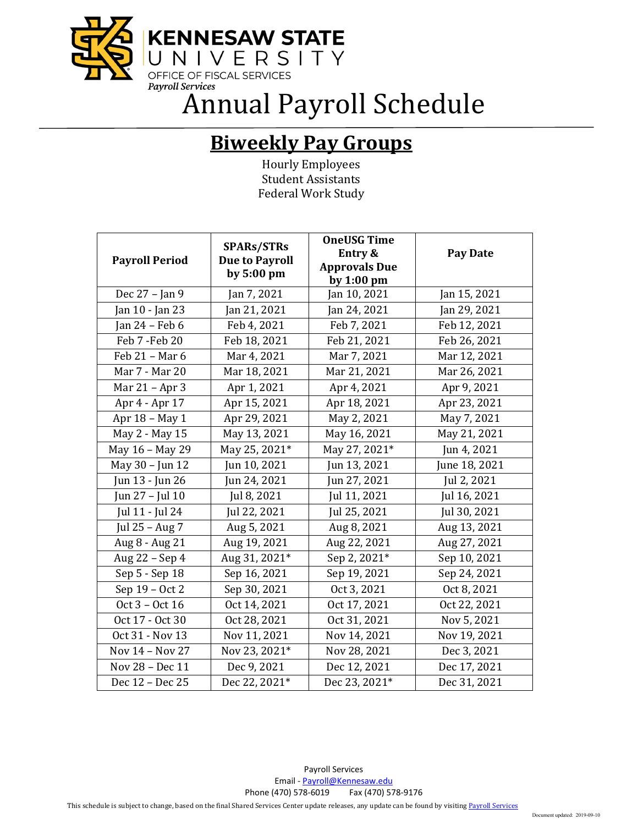

Annual Payroll Schedule

## **Biweekly Pay Groups**

Hourly Employees Student Assistants Federal Work Study

|                       | <b>SPARs/STRs</b><br><b>Due to Payroll</b> | <b>OneUSG Time</b><br>Entry & | <b>Pay Date</b> |
|-----------------------|--------------------------------------------|-------------------------------|-----------------|
| <b>Payroll Period</b> |                                            | <b>Approvals Due</b>          |                 |
|                       | by $5:00$ pm                               | by 1:00 pm                    |                 |
| Dec 27 - Jan 9        | Jan 7, 2021                                | Jan 10, 2021                  | Jan 15, 2021    |
| Jan 10 - Jan 23       | Jan 21, 2021                               | Jan 24, 2021                  | Jan 29, 2021    |
| Jan $24$ – Feb 6      | Feb 4, 2021                                | Feb 7, 2021                   | Feb 12, 2021    |
| Feb 7 - Feb 20        | Feb 18, 2021                               | Feb 21, 2021                  | Feb 26, 2021    |
| Feb 21 - Mar 6        | Mar 4, 2021                                | Mar 7, 2021                   | Mar 12, 2021    |
| Mar 7 - Mar 20        | Mar 18, 2021                               | Mar 21, 2021                  | Mar 26, 2021    |
| Mar 21 - Apr 3        | Apr 1, 2021                                | Apr 4, 2021                   | Apr 9, 2021     |
| Apr 4 - Apr 17        | Apr 15, 2021                               | Apr 18, 2021                  | Apr 23, 2021    |
| Apr 18 - May 1        | Apr 29, 2021                               | May 2, 2021                   | May 7, 2021     |
| May 2 - May 15        | May 13, 2021                               | May 16, 2021                  | May 21, 2021    |
| May 16 - May 29       | May 25, 2021*                              | May 27, 2021*                 | Jun 4, 2021     |
| May 30 - Jun 12       | Jun 10, 2021                               | Jun 13, 2021                  | June 18, 2021   |
| Jun 13 - Jun 26       | Jun 24, 2021                               | Jun 27, 2021                  | Jul 2, 2021     |
| Jun 27 - Jul 10       | Jul 8, 2021                                | Jul 11, 2021                  | Jul 16, 2021    |
| Jul 11 - Jul 24       | Jul 22, 2021                               | Jul 25, 2021                  | Jul 30, 2021    |
| Jul 25 - Aug 7        | Aug 5, 2021                                | Aug 8, 2021                   | Aug 13, 2021    |
| Aug 8 - Aug 21        | Aug 19, 2021                               | Aug 22, 2021                  | Aug 27, 2021    |
| Aug 22 - Sep 4        | Aug 31, 2021*                              | Sep 2, 2021*                  | Sep 10, 2021    |
| Sep 5 - Sep 18        | Sep 16, 2021                               | Sep 19, 2021                  | Sep 24, 2021    |
| Sep 19 - Oct 2        | Sep 30, 2021                               | Oct 3, 2021                   | Oct 8, 2021     |
| Oct 3 - Oct 16        | Oct 14, 2021                               | Oct 17, 2021                  | Oct 22, 2021    |
| Oct 17 - Oct 30       | Oct 28, 2021                               | Oct 31, 2021                  | Nov 5, 2021     |
| Oct 31 - Nov 13       | Nov 11, 2021                               | Nov 14, 2021                  | Nov 19, 2021    |
| Nov 14 - Nov 27       | Nov 23, 2021*                              | Nov 28, 2021                  | Dec 3, 2021     |
| Nov 28 - Dec 11       | Dec 9, 2021                                | Dec 12, 2021                  | Dec 17, 2021    |
| Dec 12 - Dec 25       | Dec 22, 2021*                              | Dec 23, 2021*                 | Dec 31, 2021    |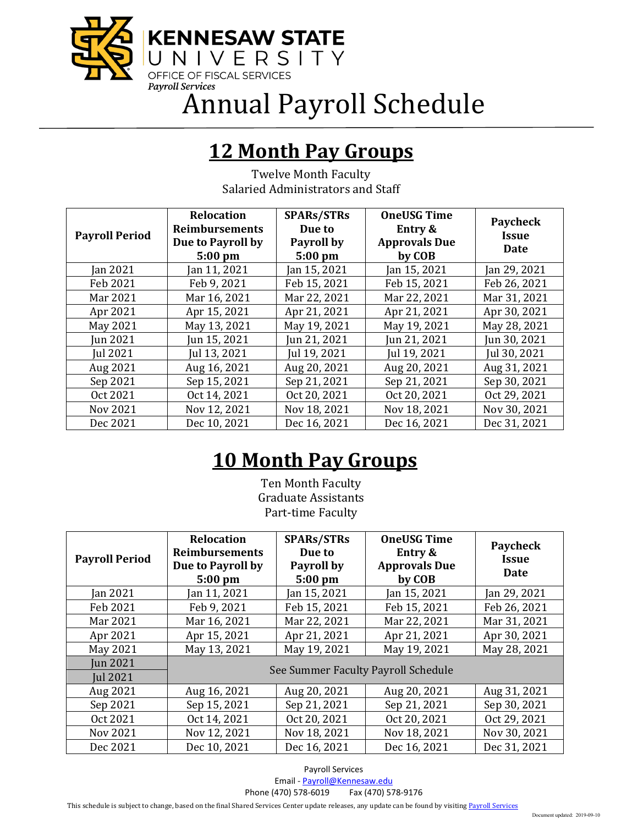

Annual Payroll Schedule

## **12 Month Pay Groups**

Twelve Month Faculty Salaried Administrators and Staff

| <b>Payroll Period</b> | Relocation<br><b>Reimbursements</b><br>Due to Payroll by<br>$5:00$ pm | <b>SPARs/STRs</b><br>Due to<br>Payroll by<br>$5:00$ pm | <b>OneUSG Time</b><br>Entry &<br><b>Approvals Due</b><br>by COB | Paycheck<br><b>Issue</b><br>Date |
|-----------------------|-----------------------------------------------------------------------|--------------------------------------------------------|-----------------------------------------------------------------|----------------------------------|
| Jan 2021              | Jan 11, 2021                                                          | Jan 15, 2021                                           | Jan 15, 2021                                                    | Jan 29, 2021                     |
| Feb 2021              | Feb 9, 2021                                                           | Feb 15, 2021                                           | Feb 15, 2021                                                    | Feb 26, 2021                     |
| Mar 2021              | Mar 16, 2021                                                          | Mar 22, 2021                                           | Mar 22, 2021                                                    | Mar 31, 2021                     |
| Apr 2021              | Apr 15, 2021                                                          | Apr 21, 2021                                           | Apr 21, 2021                                                    | Apr 30, 2021                     |
| May 2021              | May 13, 2021                                                          | May 19, 2021                                           | May 19, 2021                                                    | May 28, 2021                     |
| Jun 2021              | Jun 15, 2021                                                          | Jun 21, 2021                                           | Jun 21, 2021                                                    | Jun 30, 2021                     |
| <b>Iul 2021</b>       | Jul 13, 2021                                                          | Jul 19, 2021                                           | Jul 19, 2021                                                    | Jul 30, 2021                     |
| Aug 2021              | Aug 16, 2021                                                          | Aug 20, 2021                                           | Aug 20, 2021                                                    | Aug 31, 2021                     |
| Sep 2021              | Sep 15, 2021                                                          | Sep 21, 2021                                           | Sep 21, 2021                                                    | Sep 30, 2021                     |
| Oct 2021              | Oct 14, 2021                                                          | Oct 20, 2021                                           | Oct 20, 2021                                                    | Oct 29, 2021                     |
| Nov 2021              | Nov 12, 2021                                                          | Nov 18, 2021                                           | Nov 18, 2021                                                    | Nov 30, 2021                     |
| Dec 2021              | Dec 10, 2021                                                          | Dec 16, 2021                                           | Dec 16, 2021                                                    | Dec 31, 2021                     |

## **10 Month Pay Groups**

Ten Month Faculty Graduate Assistants Part-time Faculty

| <b>Payroll Period</b>              | <b>Relocation</b><br><b>Reimbursements</b><br>Due to Payroll by<br>$5:00$ pm | <b>SPARs/STRs</b><br>Due to<br>Payroll by<br>$5:00$ pm | <b>OneUSG Time</b><br>Entry &<br><b>Approvals Due</b><br>by COB | Paycheck<br><b>Issue</b><br>Date |
|------------------------------------|------------------------------------------------------------------------------|--------------------------------------------------------|-----------------------------------------------------------------|----------------------------------|
| <b>Jan 2021</b>                    | Jan 11, 2021                                                                 | Jan 15, 2021                                           | Jan 15, 2021                                                    | Jan 29, 2021                     |
| Feb 2021                           | Feb 9, 2021                                                                  | Feb 15, 2021                                           | Feb 15, 2021                                                    | Feb 26, 2021                     |
| Mar 2021                           | Mar 16, 2021                                                                 | Mar 22, 2021                                           | Mar 22, 2021                                                    | Mar 31, 2021                     |
| Apr 2021                           | Apr 15, 2021                                                                 | Apr 21, 2021                                           | Apr 21, 2021                                                    | Apr 30, 2021                     |
| May 2021                           | May 13, 2021                                                                 | May 19, 2021                                           | May 19, 2021                                                    | May 28, 2021                     |
| <b>Iun 2021</b><br><b>Iul 2021</b> | See Summer Faculty Payroll Schedule                                          |                                                        |                                                                 |                                  |
| Aug 2021                           | Aug 16, 2021                                                                 | Aug 20, 2021                                           | Aug 20, 2021                                                    | Aug 31, 2021                     |
| Sep 2021                           | Sep 15, 2021                                                                 | Sep 21, 2021                                           | Sep 21, 2021                                                    | Sep 30, 2021                     |
| Oct 2021                           | Oct 14, 2021                                                                 | Oct 20, 2021                                           | Oct 20, 2021                                                    | Oct 29, 2021                     |
| <b>Nov 2021</b>                    | Nov 12, 2021                                                                 | Nov 18, 2021                                           | Nov 18, 2021                                                    | Nov 30, 2021                     |
| Dec 2021                           | Dec 10, 2021                                                                 | Dec 16, 2021                                           | Dec 16, 2021                                                    | Dec 31, 2021                     |